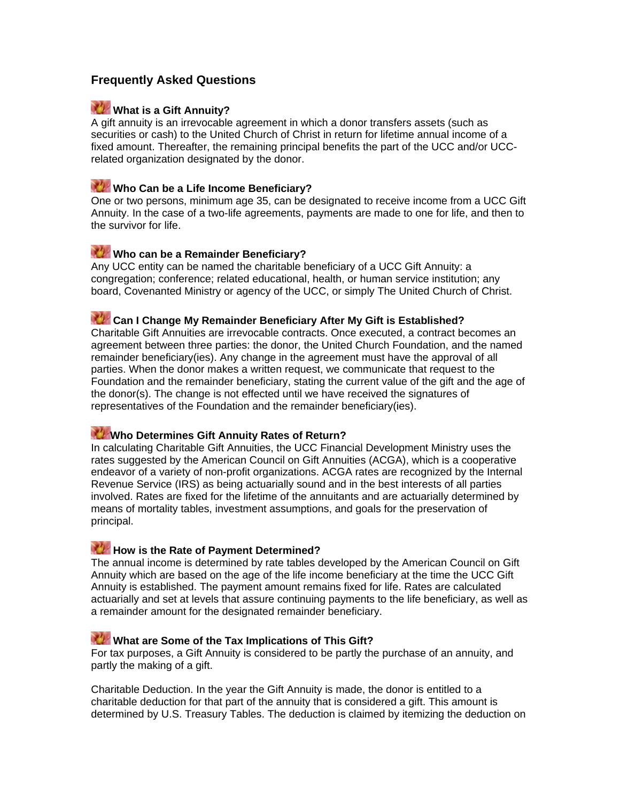# **Frequently Asked Questions**

#### **What is a Gift Annuity?**

A gift annuity is an irrevocable agreement in which a donor transfers assets (such as securities or cash) to the United Church of Christ in return for lifetime annual income of a fixed amount. Thereafter, the remaining principal benefits the part of the UCC and/or UCCrelated organization designated by the donor.

#### **Who Can be a Life Income Beneficiary?**

One or two persons, minimum age 35, can be designated to receive income from a UCC Gift Annuity. In the case of a two-life agreements, payments are made to one for life, and then to the survivor for life.

# **Who can be a Remainder Beneficiary?**

Any UCC entity can be named the charitable beneficiary of a UCC Gift Annuity: a congregation; conference; related educational, health, or human service institution; any board, Covenanted Ministry or agency of the UCC, or simply The United Church of Christ.

# **Can I Change My Remainder Beneficiary After My Gift is Established?**

Charitable Gift Annuities are irrevocable contracts. Once executed, a contract becomes an agreement between three parties: the donor, the United Church Foundation, and the named remainder beneficiary(ies). Any change in the agreement must have the approval of all parties. When the donor makes a written request, we communicate that request to the Foundation and the remainder beneficiary, stating the current value of the gift and the age of the donor(s). The change is not effected until we have received the signatures of representatives of the Foundation and the remainder beneficiary(ies).

#### **Who Determines Gift Annuity Rates of Return?**

In calculating Charitable Gift Annuities, the UCC Financial Development Ministry uses the rates suggested by the American Council on Gift Annuities (ACGA), which is a cooperative endeavor of a variety of non-profit organizations. ACGA rates are recognized by the Internal Revenue Service (IRS) as being actuarially sound and in the best interests of all parties involved. Rates are fixed for the lifetime of the annuitants and are actuarially determined by means of mortality tables, investment assumptions, and goals for the preservation of principal.

#### **How is the Rate of Payment Determined?**

The annual income is determined by rate tables developed by the American Council on Gift Annuity which are based on the age of the life income beneficiary at the time the UCC Gift Annuity is established. The payment amount remains fixed for life. Rates are calculated actuarially and set at levels that assure continuing payments to the life beneficiary, as well as a remainder amount for the designated remainder beneficiary.

### **What are Some of the Tax Implications of This Gift?**

For tax purposes, a Gift Annuity is considered to be partly the purchase of an annuity, and partly the making of a gift.

Charitable Deduction. In the year the Gift Annuity is made, the donor is entitled to a charitable deduction for that part of the annuity that is considered a gift. This amount is determined by U.S. Treasury Tables. The deduction is claimed by itemizing the deduction on